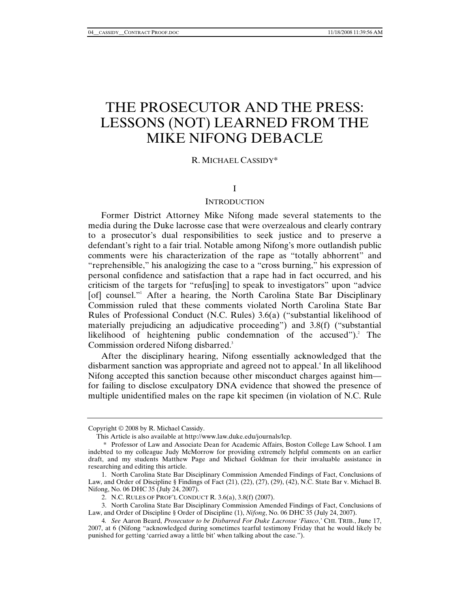# THE PROSECUTOR AND THE PRESS: LESSONS (NOT) LEARNED FROM THE MIKE NIFONG DEBACLE

# R. MICHAEL CASSIDY\*

# I

# **INTRODUCTION**

Former District Attorney Mike Nifong made several statements to the media during the Duke lacrosse case that were overzealous and clearly contrary to a prosecutor's dual responsibilities to seek justice and to preserve a defendant's right to a fair trial. Notable among Nifong's more outlandish public comments were his characterization of the rape as "totally abhorrent" and "reprehensible," his analogizing the case to a "cross burning," his expression of personal confidence and satisfaction that a rape had in fact occurred, and his criticism of the targets for "refus[ing] to speak to investigators" upon "advice [of] counsel."<sup>1</sup> After a hearing, the North Carolina State Bar Disciplinary Commission ruled that these comments violated North Carolina State Bar Rules of Professional Conduct (N.C. Rules) 3.6(a) ("substantial likelihood of materially prejudicing an adjudicative proceeding") and 3.8(f) ("substantial likelihood of heightening public condemnation of the accused").<sup>2</sup> The Commission ordered Nifong disbarred.<sup>3</sup>

After the disciplinary hearing, Nifong essentially acknowledged that the disbarment sanction was appropriate and agreed not to appeal.<sup>4</sup> In all likelihood Nifong accepted this sanction because other misconduct charges against him for failing to disclose exculpatory DNA evidence that showed the presence of multiple unidentified males on the rape kit specimen (in violation of N.C. Rule

Copyright © 2008 by R. Michael Cassidy.

This Article is also available at http://www.law.duke.edu/journals/lcp.

 <sup>\*</sup> Professor of Law and Associate Dean for Academic Affairs, Boston College Law School. I am indebted to my colleague Judy McMorrow for providing extremely helpful comments on an earlier draft, and my students Matthew Page and Michael Goldman for their invaluable assistance in researching and editing this article.

 <sup>1.</sup> North Carolina State Bar Disciplinary Commission Amended Findings of Fact, Conclusions of Law, and Order of Discipline § Findings of Fact (21), (22), (27), (29), (42), N.C. State Bar v. Michael B. Nifong, No. 06 DHC 35 (July 24, 2007).

 <sup>2.</sup> N.C. RULES OF PROF'L CONDUCT R. 3.6(a), 3.8(f) (2007).

 <sup>3.</sup> North Carolina State Bar Disciplinary Commission Amended Findings of Fact, Conclusions of Law, and Order of Discipline § Order of Discipline (1), *Nifong*, No. 06 DHC 35 (July 24, 2007).

<sup>4</sup>*. See* Aaron Beard, *Prosecutor to be Disbarred For Duke Lacrosse 'Fiasco*,*'* CHI. TRIB., June 17, 2007, at 6 (Nifong "acknowledged during sometimes tearful testimony Friday that he would likely be punished for getting 'carried away a little bit' when talking about the case.").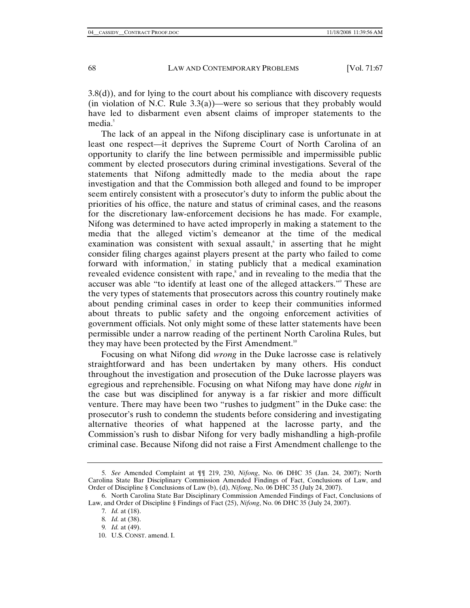3.8(d)), and for lying to the court about his compliance with discovery requests (in violation of N.C. Rule  $3.3(a)$ )—were so serious that they probably would have led to disbarment even absent claims of improper statements to the media.<sup>5</sup>

The lack of an appeal in the Nifong disciplinary case is unfortunate in at least one respect—it deprives the Supreme Court of North Carolina of an opportunity to clarify the line between permissible and impermissible public comment by elected prosecutors during criminal investigations. Several of the statements that Nifong admittedly made to the media about the rape investigation and that the Commission both alleged and found to be improper seem entirely consistent with a prosecutor's duty to inform the public about the priorities of his office, the nature and status of criminal cases, and the reasons for the discretionary law-enforcement decisions he has made. For example, Nifong was determined to have acted improperly in making a statement to the media that the alleged victim's demeanor at the time of the medical examination was consistent with sexual assault, in asserting that he might consider filing charges against players present at the party who failed to come forward with information, $\overline{a}$  in stating publicly that a medical examination revealed evidence consistent with rape,<sup>8</sup> and in revealing to the media that the accuser was able "to identify at least one of the alleged attackers."9 These are the very types of statements that prosecutors across this country routinely make about pending criminal cases in order to keep their communities informed about threats to public safety and the ongoing enforcement activities of government officials. Not only might some of these latter statements have been permissible under a narrow reading of the pertinent North Carolina Rules, but they may have been protected by the First Amendment.<sup>10</sup>

Focusing on what Nifong did *wrong* in the Duke lacrosse case is relatively straightforward and has been undertaken by many others. His conduct throughout the investigation and prosecution of the Duke lacrosse players was egregious and reprehensible. Focusing on what Nifong may have done *right* in the case but was disciplined for anyway is a far riskier and more difficult venture. There may have been two "rushes to judgment" in the Duke case: the prosecutor's rush to condemn the students before considering and investigating alternative theories of what happened at the lacrosse party, and the Commission's rush to disbar Nifong for very badly mishandling a high-profile criminal case. Because Nifong did not raise a First Amendment challenge to the

<sup>5</sup>*. See* Amended Complaint at ¶¶ 219, 230, *Nifong*, No. 06 DHC 35 (Jan. 24, 2007); North Carolina State Bar Disciplinary Commission Amended Findings of Fact, Conclusions of Law, and Order of Discipline § Conclusions of Law (b), (d), *Nifong*, No. 06 DHC 35 (July 24, 2007).

 <sup>6.</sup> North Carolina State Bar Disciplinary Commission Amended Findings of Fact, Conclusions of Law, and Order of Discipline § Findings of Fact (25), *Nifong*, No. 06 DHC 35 (July 24, 2007).

<sup>7</sup>*. Id.* at (18).

<sup>8</sup>*. Id.* at (38).

<sup>9</sup>*. Id.* at (49).

 <sup>10.</sup> U.S. CONST. amend. I.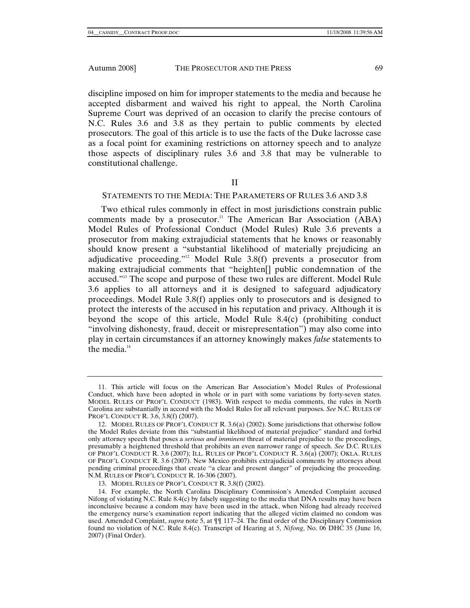discipline imposed on him for improper statements to the media and because he accepted disbarment and waived his right to appeal, the North Carolina Supreme Court was deprived of an occasion to clarify the precise contours of N.C. Rules 3.6 and 3.8 as they pertain to public comments by elected prosecutors. The goal of this article is to use the facts of the Duke lacrosse case as a focal point for examining restrictions on attorney speech and to analyze those aspects of disciplinary rules 3.6 and 3.8 that may be vulnerable to constitutional challenge.

II

## STATEMENTS TO THE MEDIA: THE PARAMETERS OF RULES 3.6 AND 3.8

Two ethical rules commonly in effect in most jurisdictions constrain public comments made by a prosecutor.<sup>11</sup> The American Bar Association  $(ABA)$ Model Rules of Professional Conduct (Model Rules) Rule 3.6 prevents a prosecutor from making extrajudicial statements that he knows or reasonably should know present a "substantial likelihood of materially prejudicing an adjudicative proceeding."12 Model Rule 3.8(f) prevents a prosecutor from making extrajudicial comments that "heighten[] public condemnation of the accused."13 The scope and purpose of these two rules are different. Model Rule 3.6 applies to all attorneys and it is designed to safeguard adjudicatory proceedings. Model Rule 3.8(f) applies only to prosecutors and is designed to protect the interests of the accused in his reputation and privacy. Although it is beyond the scope of this article, Model Rule 8.4(c) (prohibiting conduct "involving dishonesty, fraud, deceit or misrepresentation") may also come into play in certain circumstances if an attorney knowingly makes *false* statements to the media. $14$ 

 <sup>11.</sup> This article will focus on the American Bar Association's Model Rules of Professional Conduct, which have been adopted in whole or in part with some variations by forty-seven states. MODEL RULES OF PROF'L CONDUCT (1983). With respect to media comments, the rules in North Carolina are substantially in accord with the Model Rules for all relevant purposes. *See* N.C. RULES OF PROF'L CONDUCT R. 3.6, 3.8(f) (2007).

 <sup>12.</sup> MODEL RULES OF PROF'L CONDUCT R. 3.6(a) (2002). Some jurisdictions that otherwise follow the Model Rules deviate from this "substantial likelihood of material prejudice" standard and forbid only attorney speech that poses a *serious and imminent* threat of material prejudice to the proceedings, presumably a heightened threshold that prohibits an even narrower range of speech. *See* D.C. RULES OF PROF'L CONDUCT R. 3.6 (2007); ILL. RULES OF PROF'L CONDUCT R. 3.6(a) (2007); OKLA. RULES OF PROF'L CONDUCT R. 3.6 (2007). New Mexico prohibits extrajudicial comments by attorneys about pending criminal proceedings that create "a clear and present danger" of prejudicing the proceeding. N.M. RULES OF PROF'L CONDUCT R. 16-306 (2007).

 <sup>13.</sup> MODEL RULES OF PROF'L CONDUCT R. 3.8(f) (2002).

 <sup>14.</sup> For example, the North Carolina Disciplinary Commission's Amended Complaint accused Nifong of violating N.C. Rule 8.4(c) by falsely suggesting to the media that DNA results may have been inconclusive because a condom may have been used in the attack, when Nifong had already received the emergency nurse's examination report indicating that the alleged victim claimed no condom was used. Amended Complaint, *supra* note 5, at  $\P\P$  117–24. The final order of the Disciplinary Commission found no violation of N.C. Rule 8.4(c). Transcript of Hearing at 5, *Nifong*, No. 06 DHC 35 (June 16, 2007) (Final Order).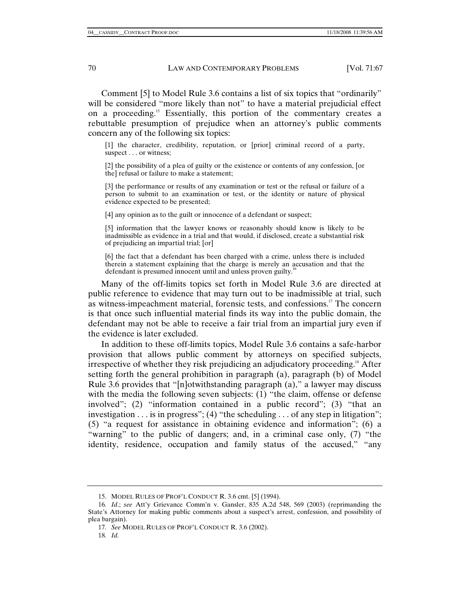Comment [5] to Model Rule 3.6 contains a list of six topics that "ordinarily" will be considered "more likely than not" to have a material prejudicial effect on a proceeding.15 Essentially, this portion of the commentary creates a rebuttable presumption of prejudice when an attorney's public comments concern any of the following six topics:

[1] the character, credibility, reputation, or [prior] criminal record of a party, suspect . . . or witness;

[2] the possibility of a plea of guilty or the existence or contents of any confession, [or the] refusal or failure to make a statement;

[3] the performance or results of any examination or test or the refusal or failure of a person to submit to an examination or test, or the identity or nature of physical evidence expected to be presented;

[4] any opinion as to the guilt or innocence of a defendant or suspect;

[5] information that the lawyer knows or reasonably should know is likely to be inadmissible as evidence in a trial and that would, if disclosed, create a substantial risk of prejudicing an impartial trial; [or]

[6] the fact that a defendant has been charged with a crime, unless there is included therein a statement explaining that the charge is merely an accusation and that the defendant is presumed innocent until and unless proven guilty.<sup>1</sup>

Many of the off-limits topics set forth in Model Rule 3.6 are directed at public reference to evidence that may turn out to be inadmissible at trial, such as witness-impeachment material, forensic tests, and confessions.17 The concern is that once such influential material finds its way into the public domain, the defendant may not be able to receive a fair trial from an impartial jury even if the evidence is later excluded.

In addition to these off-limits topics, Model Rule 3.6 contains a safe-harbor provision that allows public comment by attorneys on specified subjects, irrespective of whether they risk prejudicing an adjudicatory proceeding.<sup>18</sup> After setting forth the general prohibition in paragraph (a), paragraph (b) of Model Rule 3.6 provides that "[n]otwithstanding paragraph (a)," a lawyer may discuss with the media the following seven subjects: (1) "the claim, offense or defense involved"; (2) "information contained in a public record"; (3) "that an investigation  $\dots$  is in progress"; (4) "the scheduling  $\dots$  of any step in litigation"; (5) "a request for assistance in obtaining evidence and information"; (6) a "warning" to the public of dangers; and, in a criminal case only, (7) "the identity, residence, occupation and family status of the accused," "any

 <sup>15.</sup> MODEL RULES OF PROF'L CONDUCT R. 3.6 cmt. [5] (1994).

<sup>16</sup>*. Id*.; *see* Att'y Grievance Comm'n v. Gansler, 835 A.2d 548, 569 (2003) (reprimanding the State's Attorney for making public comments about a suspect's arrest, confession, and possibility of plea bargain).

<sup>17</sup>*. See* MODEL RULES OF PROF'L CONDUCT R. 3.6 (2002).

<sup>18</sup>*. Id.*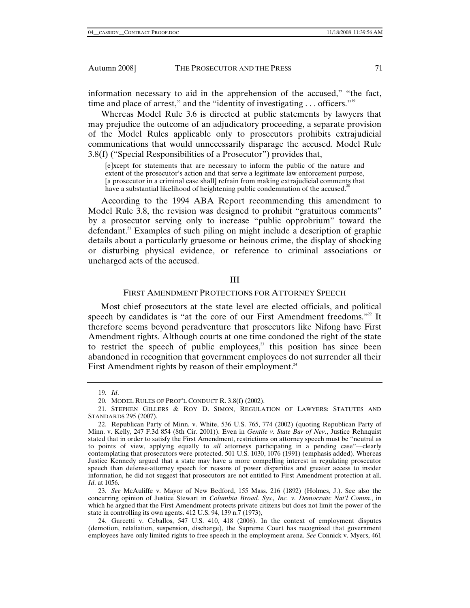information necessary to aid in the apprehension of the accused," "the fact, time and place of arrest," and the "identity of investigating . . . officers."<sup>19</sup>

Whereas Model Rule 3.6 is directed at public statements by lawyers that may prejudice the outcome of an adjudicatory proceeding, a separate provision of the Model Rules applicable only to prosecutors prohibits extrajudicial communications that would unnecessarily disparage the accused. Model Rule 3.8(f) ("Special Responsibilities of a Prosecutor") provides that,

[e]xcept for statements that are necessary to inform the public of the nature and extent of the prosecutor's action and that serve a legitimate law enforcement purpose, [a prosecutor in a criminal case shall] refrain from making extrajudicial comments that have a substantial likelihood of heightening public condemnation of the accused.<sup>2</sup>

According to the 1994 ABA Report recommending this amendment to Model Rule 3.8, the revision was designed to prohibit "gratuitous comments" by a prosecutor serving only to increase "public opprobrium" toward the defendant.<sup>21</sup> Examples of such piling on might include a description of graphic details about a particularly gruesome or heinous crime, the display of shocking or disturbing physical evidence, or reference to criminal associations or uncharged acts of the accused.

#### III

# FIRST AMENDMENT PROTECTIONS FOR ATTORNEY SPEECH

Most chief prosecutors at the state level are elected officials, and political speech by candidates is "at the core of our First Amendment freedoms."<sup>22</sup> It therefore seems beyond peradventure that prosecutors like Nifong have First Amendment rights. Although courts at one time condoned the right of the state to restrict the speech of public employees, $23$  this position has since been abandoned in recognition that government employees do not surrender all their First Amendment rights by reason of their employment.<sup>24</sup>

<sup>19</sup>*. Id*.

 <sup>20.</sup> MODEL RULES OF PROF'L CONDUCT R. 3.8(f) (2002).

 <sup>21.</sup> STEPHEN GILLERS & ROY D. SIMON, REGULATION OF LAWYERS: STATUTES AND STANDARDS 295 (2007).

 <sup>22.</sup> Republican Party of Minn. v. White, 536 U.S. 765, 774 (2002) (quoting Republican Party of Minn. v. Kelly, 247 F.3d 854 (8th Cir. 2001)). Even in *Gentile v. State Bar of Nev.*, Justice Rehnquist stated that in order to satisfy the First Amendment, restrictions on attorney speech must be "neutral as to points of view, applying equally to *all* attorneys participating in a pending case"—clearly contemplating that prosecutors were protected. 501 U.S. 1030, 1076 (1991) (emphasis added). Whereas Justice Kennedy argued that a state may have a more compelling interest in regulating prosecutor speech than defense-attorney speech for reasons of power disparities and greater access to insider information, he did not suggest that prosecutors are not entitled to First Amendment protection at all. *Id*. at 1056.

<sup>23</sup>*. See* McAuliffe v. Mayor of New Bedford, 155 Mass. 216 (1892) (Holmes, J.). See also the concurring opinion of Justice Stewart in *Columbia Broad. Sys., Inc. v. Democratic Nat'l Comm.*, in which he argued that the First Amendment protects private citizens but does not limit the power of the state in controlling its own agents. 412 U.S. 94, 139 n.7 (1973),

 <sup>24.</sup> Garcetti v. Ceballos, 547 U.S. 410, 418 (2006). In the context of employment disputes (demotion, retaliation, suspension, discharge), the Supreme Court has recognized that government employees have only limited rights to free speech in the employment arena. *See* Connick v. Myers, 461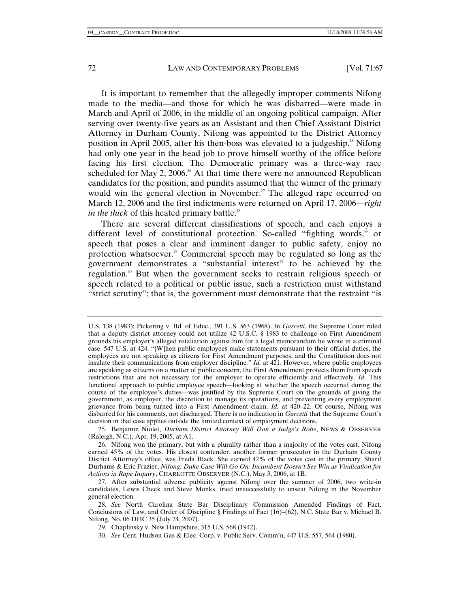It is important to remember that the allegedly improper comments Nifong made to the media—and those for which he was disbarred—were made in March and April of 2006, in the middle of an ongoing political campaign. After serving over twenty-five years as an Assistant and then Chief Assistant District Attorney in Durham County, Nifong was appointed to the District Attorney position in April 2005, after his then-boss was elevated to a judgeship.<sup>25</sup> Nifong had only one year in the head job to prove himself worthy of the office before facing his first election. The Democratic primary was a three-way race scheduled for May 2, 2006.<sup>26</sup> At that time there were no announced Republican candidates for the position, and pundits assumed that the winner of the primary would win the general election in November.<sup>27</sup> The alleged rape occurred on March 12, 2006 and the first indictments were returned on April 17, 2006—*right in the thick* of this heated primary battle.<sup>28</sup>

There are several different classifications of speech, and each enjoys a different level of constitutional protection. So-called "fighting words," or speech that poses a clear and imminent danger to public safety, enjoy no protection whatsoever.<sup>29</sup> Commercial speech may be regulated so long as the government demonstrates a "substantial interest" to be achieved by the regulation.30 But when the government seeks to restrain religious speech or speech related to a political or public issue, such a restriction must withstand "strict scrutiny"; that is, the government must demonstrate that the restraint "is

30*. See* Cent. Hudson Gas & Elec. Corp. v. Public Serv. Comm'n, 447 U.S. 557, 564 (1980).

U.S. 138 (1983); Pickering v. Bd. of Educ., 391 U.S. 563 (1968). In *Garcetti*, the Supreme Court ruled that a deputy district attorney could not utilize 42 U.S.C. § 1983 to challenge on First Amendment grounds his employer's alleged retaliation against him for a legal memorandum he wrote in a criminal case. 547 U.S. at 424. "[W]hen public employees make statements pursuant to their official duties, the employees are not speaking as citizens for First Amendment purposes, and the Constitution does not insulate their communications from employer discipline*.*" *Id.* at 421. However, where public employees are speaking as citizens on a matter of public concern, the First Amendment protects them from speech restrictions that are not necessary for the employer to operate efficiently and effectively. *Id*. This functional approach to public employee speech—looking at whether the speech occurred during the course of the employee's duties—was justified by the Supreme Court on the grounds of giving the government, as employer, the discretion to manage its operations, and preventing every employment grievance from being turned into a First Amendment claim. *Id.* at 420–22. Of course, Nifong was disbarred for his comments, not discharged. There is no indication in *Garcetti* that the Supreme Court's decision in that case applies outside the limited context of employment decisions.

 <sup>25.</sup> Benjamin Niolet, *Durham District Attorney Will Don a Judge's Robe*, NEWS & OBSERVER (Raleigh, N.C.), Apr. 19, 2005, at A1.

 <sup>26.</sup> Nifong won the primary, but with a plurality rather than a majority of the votes cast. Nifong earned 45% of the votes. His closest contender, another former prosecutor in the Durham County District Attorney's office, was Freda Black. She earned 42% of the votes cast in the primary. Sharif Durhams & Eric Frazier, *Nifong: Duke Case Will Go On: Incumbent Doesn't See Win as Vindication for Actions in Rape Inquiry*, CHARLOTTE OBSERVER (N.C.), May 3, 2006, at 1B.

 <sup>27.</sup> After substantial adverse publicity against Nifong over the summer of 2006, two write-in candidates, Lewis Cheek and Steve Monks, tried unsuccessfully to unseat Nifong in the November general election.

<sup>28</sup>*. See* North Carolina State Bar Disciplinary Commission Amended Findings of Fact, Conclusions of Law, and Order of Discipline § Findings of Fact (16)–(62), N.C. State Bar v. Michael B. Nifong, No. 06 DHC 35 (July 24, 2007).

 <sup>29.</sup> Chaplinsky v. New Hampshire, 315 U.S. 568 (1942).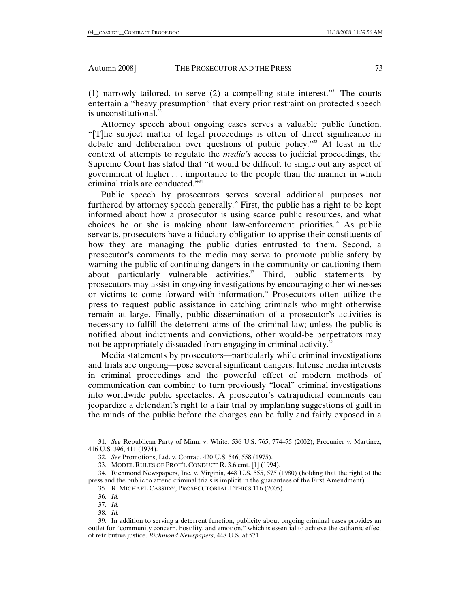(1) narrowly tailored, to serve (2) a compelling state interest."31 The courts entertain a "heavy presumption" that every prior restraint on protected speech is unconstitutional.<sup>3</sup>

Attorney speech about ongoing cases serves a valuable public function. "[T]he subject matter of legal proceedings is often of direct significance in debate and deliberation over questions of public policy."33 At least in the context of attempts to regulate the *media's* access to judicial proceedings, the Supreme Court has stated that "it would be difficult to single out any aspect of government of higher . . . importance to the people than the manner in which criminal trials are conducted."34

Public speech by prosecutors serves several additional purposes not furthered by attorney speech generally.<sup>35</sup> First, the public has a right to be kept informed about how a prosecutor is using scarce public resources, and what choices he or she is making about law-enforcement priorities.<sup>36</sup> As public servants, prosecutors have a fiduciary obligation to apprise their constituents of how they are managing the public duties entrusted to them. Second, a prosecutor's comments to the media may serve to promote public safety by warning the public of continuing dangers in the community or cautioning them about particularly vulnerable activities.<sup>37</sup> Third, public statements by prosecutors may assist in ongoing investigations by encouraging other witnesses or victims to come forward with information.38 Prosecutors often utilize the press to request public assistance in catching criminals who might otherwise remain at large. Finally, public dissemination of a prosecutor's activities is necessary to fulfill the deterrent aims of the criminal law; unless the public is notified about indictments and convictions, other would-be perpetrators may not be appropriately dissuaded from engaging in criminal activity.<sup>39</sup>

Media statements by prosecutors—particularly while criminal investigations and trials are ongoing—pose several significant dangers. Intense media interests in criminal proceedings and the powerful effect of modern methods of communication can combine to turn previously "local" criminal investigations into worldwide public spectacles. A prosecutor's extrajudicial comments can jeopardize a defendant's right to a fair trial by implanting suggestions of guilt in the minds of the public before the charges can be fully and fairly exposed in a

- 37*. Id.* 38*. Id.*
- 

<sup>31</sup>*. See* Republican Party of Minn. v. White, 536 U.S. 765, 774–75 (2002); Procunier v. Martinez, 416 U.S. 396, 411 (1974).

 <sup>32.</sup> *See* Promotions, Ltd. v. Conrad, 420 U.S. 546, 558 (1975).

 <sup>33.</sup> MODEL RULES OF PROF'L CONDUCT R. 3.6 cmt. [1] (1994).

 <sup>34.</sup> Richmond Newspapers, Inc. v. Virginia, 448 U.S. 555, 575 (1980) (holding that the right of the press and the public to attend criminal trials is implicit in the guarantees of the First Amendment).

 <sup>35.</sup> R. MICHAEL CASSIDY, PROSECUTORIAL ETHICS 116 (2005).

<sup>36</sup>*. Id.* 

 <sup>39.</sup> In addition to serving a deterrent function, publicity about ongoing criminal cases provides an outlet for "community concern, hostility, and emotion," which is essential to achieve the cathartic effect of retributive justice. *Richmond Newspapers*, 448 U.S. at 571.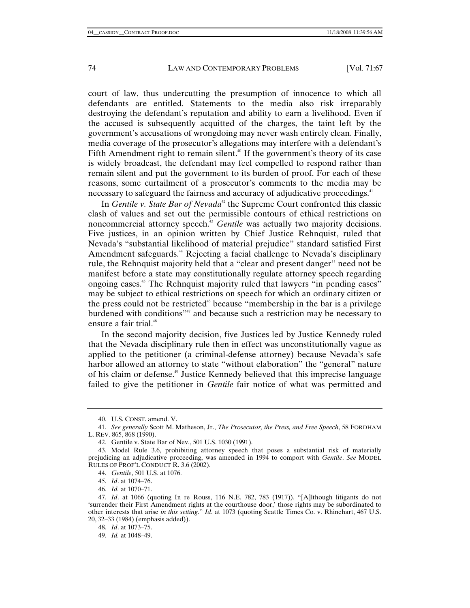court of law, thus undercutting the presumption of innocence to which all defendants are entitled. Statements to the media also risk irreparably destroying the defendant's reputation and ability to earn a livelihood. Even if the accused is subsequently acquitted of the charges, the taint left by the government's accusations of wrongdoing may never wash entirely clean. Finally, media coverage of the prosecutor's allegations may interfere with a defendant's Fifth Amendment right to remain silent.<sup>40</sup> If the government's theory of its case is widely broadcast, the defendant may feel compelled to respond rather than remain silent and put the government to its burden of proof. For each of these reasons, some curtailment of a prosecutor's comments to the media may be necessary to safeguard the fairness and accuracy of adjudicative proceedings.<sup>41</sup>

In *Gentile v. State Bar of Nevada*<sup>42</sup> the Supreme Court confronted this classic clash of values and set out the permissible contours of ethical restrictions on noncommercial attorney speech.<sup>43</sup> *Gentile* was actually two majority decisions. Five justices, in an opinion written by Chief Justice Rehnquist, ruled that Nevada's "substantial likelihood of material prejudice" standard satisfied First Amendment safeguards.<sup>44</sup> Rejecting a facial challenge to Nevada's disciplinary rule, the Rehnquist majority held that a "clear and present danger" need not be manifest before a state may constitutionally regulate attorney speech regarding ongoing cases.<sup>45</sup> The Rehnquist majority ruled that lawyers "in pending cases" may be subject to ethical restrictions on speech for which an ordinary citizen or the press could not be restricted<sup>46</sup> because "membership in the bar is a privilege burdened with conditions"47 and because such a restriction may be necessary to ensure a fair trial.<sup>48</sup>

In the second majority decision, five Justices led by Justice Kennedy ruled that the Nevada disciplinary rule then in effect was unconstitutionally vague as applied to the petitioner (a criminal-defense attorney) because Nevada's safe harbor allowed an attorney to state "without elaboration" the "general" nature of his claim or defense.49 Justice Kennedy believed that this imprecise language failed to give the petitioner in *Gentile* fair notice of what was permitted and

 <sup>40.</sup> U.S. CONST. amend. V.

<sup>41</sup>*. See generally* Scott M. Matheson, Jr., *The Prosecutor, the Press, and Free Speech*, 58 FORDHAM L. REV. 865, 868 (1990).

 <sup>42.</sup> Gentile v. State Bar of Nev., 501 U.S. 1030 (1991).

 <sup>43.</sup> Model Rule 3.6, prohibiting attorney speech that poses a substantial risk of materially prejudicing an adjudicative proceeding, was amended in 1994 to comport with *Gentile*. *See* MODEL RULES OF PROF'L CONDUCT R. 3.6 (2002).

<sup>44</sup>*. Gentile*, 501 U.S. at 1076.

<sup>45</sup>*. Id*. at 1074–76.

<sup>46</sup>*. Id.* at 1070–71.

<sup>47</sup>*. Id*. at 1066 (quoting In re Rouss, 116 N.E. 782, 783 (1917)). "[A]lthough litigants do not 'surrender their First Amendment rights at the courthouse door,' those rights may be subordinated to other interests that arise *in this setting*." *Id*. at 1073 (quoting Seattle Times Co. v. Rhinehart, 467 U.S. 20, 32–33 (1984) (emphasis added)).

<sup>48</sup>*. Id*. at 1073–75.

<sup>49</sup>*. Id.* at 1048–49.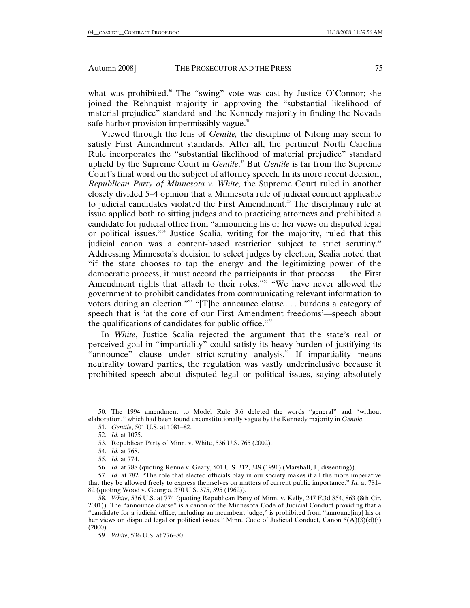what was prohibited.<sup>50</sup> The "swing" vote was cast by Justice O'Connor; she joined the Rehnquist majority in approving the "substantial likelihood of material prejudice" standard and the Kennedy majority in finding the Nevada safe-harbor provision impermissibly vague. $51$ 

Viewed through the lens of *Gentile,* the discipline of Nifong may seem to satisfy First Amendment standards. After all, the pertinent North Carolina Rule incorporates the "substantial likelihood of material prejudice" standard upheld by the Supreme Court in *Gentile*.<sup>52</sup> But *Gentile* is far from the Supreme Court's final word on the subject of attorney speech. In its more recent decision, *Republican Party of Minnesota v. White,* the Supreme Court ruled in another closely divided 5–4 opinion that a Minnesota rule of judicial conduct applicable to judicial candidates violated the First Amendment.53 The disciplinary rule at issue applied both to sitting judges and to practicing attorneys and prohibited a candidate for judicial office from "announcing his or her views on disputed legal or political issues."54 Justice Scalia, writing for the majority, ruled that this judicial canon was a content-based restriction subject to strict scrutiny.<sup>55</sup> Addressing Minnesota's decision to select judges by election, Scalia noted that "if the state chooses to tap the energy and the legitimizing power of the democratic process, it must accord the participants in that process . . . the First Amendment rights that attach to their roles."<sup>56</sup> "We have never allowed the government to prohibit candidates from communicating relevant information to voters during an election."<sup>57</sup> "[T]he announce clause . . . burdens a category of speech that is 'at the core of our First Amendment freedoms'—speech about the qualifications of candidates for public office."<sup>58</sup>

In *White*, Justice Scalia rejected the argument that the state's real or perceived goal in "impartiality" could satisfy its heavy burden of justifying its "announce" clause under strict-scrutiny analysis.<sup>59</sup> If impartiality means neutrality toward parties, the regulation was vastly underinclusive because it prohibited speech about disputed legal or political issues, saying absolutely

 <sup>50.</sup> The 1994 amendment to Model Rule 3.6 deleted the words "general" and "without elaboration," which had been found unconstitutionally vague by the Kennedy majority in *Gentile*.

<sup>51</sup>*. Gentile*, 501 U.S. at 1081–82.

<sup>52</sup>*. Id.* at 1075.

 <sup>53.</sup> Republican Party of Minn. v. White, 536 U.S. 765 (2002).

<sup>54</sup>*. Id.* at 768.

<sup>55</sup>*. Id.* at 774.

<sup>56</sup>*. Id.* at 788 (quoting Renne v. Geary, 501 U.S. 312, 349 (1991) (Marshall, J., dissenting)).

<sup>57</sup>*. Id.* at 782. "The role that elected officials play in our society makes it all the more imperative that they be allowed freely to express themselves on matters of current public importance." *Id.* at 781– 82 (quoting Wood v. Georgia, 370 U.S. 375, 395 (1962)).

<sup>58</sup>*. White*, 536 U.S. at 774 (quoting Republican Party of Minn. v. Kelly, 247 F.3d 854, 863 (8th Cir. 2001)). The "announce clause" is a canon of the Minnesota Code of Judicial Conduct providing that a "candidate for a judicial office, including an incumbent judge," is prohibited from "announc[ing] his or her views on disputed legal or political issues." Minn. Code of Judicial Conduct, Canon 5(A)(3)(d)(i)  $(2000).$ 

<sup>59</sup>*. White*, 536 U.S. at 776–80.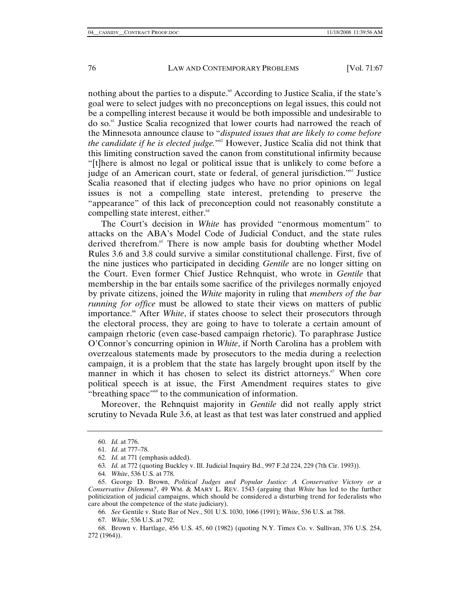nothing about the parties to a dispute.<sup>60</sup> According to Justice Scalia, if the state's goal were to select judges with no preconceptions on legal issues, this could not be a compelling interest because it would be both impossible and undesirable to do so.61 Justice Scalia recognized that lower courts had narrowed the reach of the Minnesota announce clause to "*disputed issues that are likely to come before the candidate if he is elected judge.*"62 However, Justice Scalia did not think that this limiting construction saved the canon from constitutional infirmity because "[t]here is almost no legal or political issue that is unlikely to come before a judge of an American court, state or federal, of general jurisdiction."<sup>63</sup> Justice Scalia reasoned that if electing judges who have no prior opinions on legal issues is not a compelling state interest, pretending to preserve the "appearance" of this lack of preconception could not reasonably constitute a compelling state interest, either.<sup>64</sup>

The Court's decision in *White* has provided "enormous momentum" to attacks on the ABA's Model Code of Judicial Conduct, and the state rules derived therefrom.<sup>65</sup> There is now ample basis for doubting whether Model Rules 3.6 and 3.8 could survive a similar constitutional challenge. First, five of the nine justices who participated in deciding *Gentile* are no longer sitting on the Court. Even former Chief Justice Rehnquist, who wrote in *Gentile* that membership in the bar entails some sacrifice of the privileges normally enjoyed by private citizens, joined the *White* majority in ruling that *members of the bar running for office* must be allowed to state their views on matters of public importance.<sup>66</sup> After *White*, if states choose to select their prosecutors through the electoral process, they are going to have to tolerate a certain amount of campaign rhetoric (even case-based campaign rhetoric). To paraphrase Justice O'Connor's concurring opinion in *White*, if North Carolina has a problem with overzealous statements made by prosecutors to the media during a reelection campaign, it is a problem that the state has largely brought upon itself by the manner in which it has chosen to select its district attorneys.<sup> $\sigma$ </sup> When core political speech is at issue, the First Amendment requires states to give "breathing space"68 to the communication of information.

Moreover, the Rehnquist majority in *Gentile* did not really apply strict scrutiny to Nevada Rule 3.6, at least as that test was later construed and applied

<sup>60</sup>*. Id.* at 776.

<sup>61</sup>*. Id*. at 777–78.

<sup>62</sup>*. Id.* at 771 (emphasis added).

<sup>63</sup>*. Id.* at 772 (quoting Buckley v. Ill. Judicial Inquiry Bd., 997 F.2d 224, 229 (7th Cir. 1993)).

<sup>64</sup>*. White*, 536 U.S. at 778.

 <sup>65.</sup> George D. Brown, *Political Judges and Popular Justice: A Conservative Victory or a Conservative Dilemma?*, 49 WM. & MARY L. REV. 1543 (arguing that *White* has led to the further politicization of judicial campaigns, which should be considered a disturbing trend for federalists who care about the competence of the state judiciary).

<sup>66</sup>*. See* Gentile v. State Bar of Nev., 501 U.S. 1030, 1066 (1991); *White*, 536 U.S. at 788.

<sup>67</sup>*. White*, 536 U.S. at 792.

 <sup>68.</sup> Brown v. Hartlage, 456 U.S. 45, 60 (1982) (quoting N.Y. Times Co. v. Sullivan, 376 U.S. 254, 272 (1964)).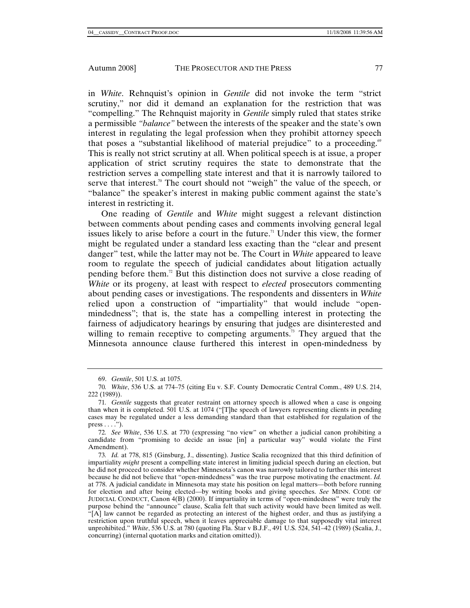in *White*. Rehnquist's opinion in *Gentile* did not invoke the term "strict scrutiny," nor did it demand an explanation for the restriction that was "compelling." The Rehnquist majority in *Gentile* simply ruled that states strike a permissible *"balance"* between the interests of the speaker and the state's own interest in regulating the legal profession when they prohibit attorney speech that poses a "substantial likelihood of material prejudice" to a proceeding.<sup>69</sup> This is really not strict scrutiny at all. When political speech is at issue, a proper application of strict scrutiny requires the state to demonstrate that the restriction serves a compelling state interest and that it is narrowly tailored to serve that interest.<sup>70</sup> The court should not "weigh" the value of the speech, or "balance" the speaker's interest in making public comment against the state's interest in restricting it.

One reading of *Gentile* and *White* might suggest a relevant distinction between comments about pending cases and comments involving general legal issues likely to arise before a court in the future.<sup> $n$ </sup> Under this view, the former might be regulated under a standard less exacting than the "clear and present danger" test, while the latter may not be. The Court in *White* appeared to leave room to regulate the speech of judicial candidates about litigation actually pending before them.72 But this distinction does not survive a close reading of *White* or its progeny, at least with respect to *elected* prosecutors commenting about pending cases or investigations. The respondents and dissenters in *White* relied upon a construction of "impartiality" that would include "openmindedness"; that is, the state has a compelling interest in protecting the fairness of adjudicatory hearings by ensuring that judges are disinterested and willing to remain receptive to competing arguments.<sup>73</sup> They argued that the Minnesota announce clause furthered this interest in open-mindedness by

 <sup>69.</sup> *Gentile*, 501 U.S. at 1075.

<sup>70</sup>*. White*, 536 U.S. at 774–75 (citing Eu v. S.F. County Democratic Central Comm., 489 U.S. 214, 222 (1989)).

<sup>71</sup>*. Gentile* suggests that greater restraint on attorney speech is allowed when a case is ongoing than when it is completed. 501 U.S. at 1074 ("[T]he speech of lawyers representing clients in pending cases may be regulated under a less demanding standard than that established for regulation of the  $press \ldots$ .").

<sup>72</sup>*. See White*, 536 U.S. at 770 (expressing "no view" on whether a judicial canon prohibiting a candidate from "promising to decide an issue [in] a particular way" would violate the First Amendment).

<sup>73</sup>*. Id.* at 778, 815 (Ginsburg, J., dissenting). Justice Scalia recognized that this third definition of impartiality *might* present a compelling state interest in limiting judicial speech during an election, but he did not proceed to consider whether Minnesota's canon was narrowly tailored to further this interest because he did not believe that "open-mindedness" was the true purpose motivating the enactment. *Id.* at 778. A judicial candidate in Minnesota may state his position on legal matters—both before running for election and after being elected—by writing books and giving speeches. *See* MINN. CODE OF JUDICIAL CONDUCT, Canon 4(B) (2000). If impartiality in terms of "open-mindedness" were truly the purpose behind the "announce" clause, Scalia felt that such activity would have been limited as well. "[A] law cannot be regarded as protecting an interest of the highest order, and thus as justifying a restriction upon truthful speech, when it leaves appreciable damage to that supposedly vital interest unprohibited." *White*, 536 U.S. at 780 (quoting Fla. Star v B.J.F., 491 U.S. 524, 541–42 (1989) (Scalia, J., concurring) (internal quotation marks and citation omitted)).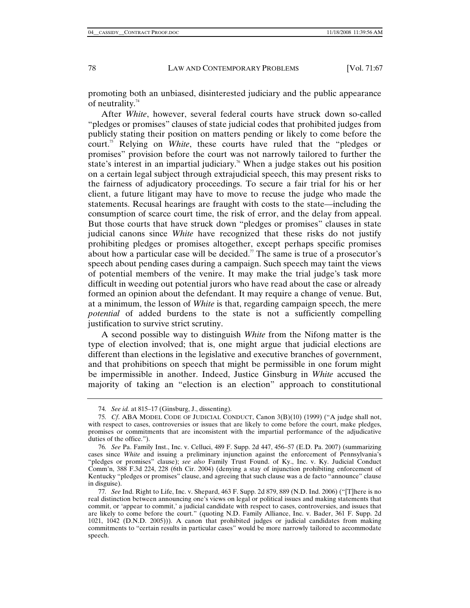promoting both an unbiased, disinterested judiciary and the public appearance of neutrality.<sup>74</sup>

After *White*, however, several federal courts have struck down so-called "pledges or promises" clauses of state judicial codes that prohibited judges from publicly stating their position on matters pending or likely to come before the court.75 Relying on *White*, these courts have ruled that the "pledges or promises" provision before the court was not narrowly tailored to further the state's interest in an impartial judiciary.<sup>76</sup> When a judge stakes out his position on a certain legal subject through extrajudicial speech, this may present risks to the fairness of adjudicatory proceedings. To secure a fair trial for his or her client, a future litigant may have to move to recuse the judge who made the statements. Recusal hearings are fraught with costs to the state—including the consumption of scarce court time, the risk of error, and the delay from appeal. But those courts that have struck down "pledges or promises" clauses in state judicial canons since *White* have recognized that these risks do not justify prohibiting pledges or promises altogether, except perhaps specific promises about how a particular case will be decided.<sup>7</sup> The same is true of a prosecutor's speech about pending cases during a campaign. Such speech may taint the views of potential members of the venire. It may make the trial judge's task more difficult in weeding out potential jurors who have read about the case or already formed an opinion about the defendant. It may require a change of venue. But, at a minimum, the lesson of *White* is that, regarding campaign speech, the mere *potential* of added burdens to the state is not a sufficiently compelling justification to survive strict scrutiny.

A second possible way to distinguish *White* from the Nifong matter is the type of election involved; that is, one might argue that judicial elections are different than elections in the legislative and executive branches of government, and that prohibitions on speech that might be permissible in one forum might be impermissible in another. Indeed, Justice Ginsburg in *White* accused the majority of taking an "election is an election" approach to constitutional

<sup>74</sup>*. See id.* at 815–17 (Ginsburg, J., dissenting).

<sup>75</sup>*. Cf*. ABA MODEL CODE OF JUDICIAL CONDUCT, Canon 3(B)(10) (1999) ("A judge shall not, with respect to cases, controversies or issues that are likely to come before the court, make pledges, promises or commitments that are inconsistent with the impartial performance of the adjudicative duties of the office.").

<sup>76</sup>*. See* Pa. Family Inst., Inc. v. Celluci, 489 F. Supp. 2d 447, 456–57 (E.D. Pa. 2007) (summarizing cases since *White* and issuing a preliminary injunction against the enforcement of Pennsylvania's "pledges or promises" clause); *see also* Family Trust Found. of Ky., Inc. v. Ky. Judicial Conduct Comm'n, 388 F.3d 224, 228 (6th Cir. 2004) (denying a stay of injunction prohibiting enforcement of Kentucky "pledges or promises" clause, and agreeing that such clause was a de facto "announce" clause in disguise).

<sup>77</sup>*. See* Ind. Right to Life, Inc. v. Shepard, 463 F. Supp. 2d 879, 889 (N.D. Ind. 2006) ("[T]here is no real distinction between announcing one's views on legal or political issues and making statements that commit, or 'appear to commit,' a judicial candidate with respect to cases, controversies, and issues that are likely to come before the court." (quoting N.D. Family Alliance, Inc. v. Bader, 361 F. Supp. 2d 1021, 1042 (D.N.D. 2005))). A canon that prohibited judges or judicial candidates from making commitments to "certain results in particular cases" would be more narrowly tailored to accommodate speech.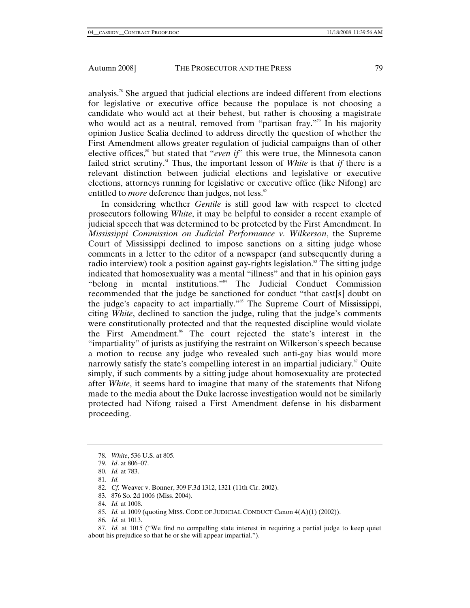analysis.78 She argued that judicial elections are indeed different from elections for legislative or executive office because the populace is not choosing a candidate who would act at their behest, but rather is choosing a magistrate who would act as a neutral, removed from "partisan fray."<sup>79</sup> In his majority opinion Justice Scalia declined to address directly the question of whether the First Amendment allows greater regulation of judicial campaigns than of other elective offices,<sup>80</sup> but stated that "*even if*" this were true, the Minnesota canon failed strict scrutiny.81 Thus, the important lesson of *White* is that *if* there is a relevant distinction between judicial elections and legislative or executive elections, attorneys running for legislative or executive office (like Nifong) are entitled to *more* deference than judges, not less.<sup>82</sup>

In considering whether *Gentile* is still good law with respect to elected prosecutors following *White*, it may be helpful to consider a recent example of judicial speech that was determined to be protected by the First Amendment. In *Mississippi Commission on Judicial Performance v. Wilkerson*, the Supreme Court of Mississippi declined to impose sanctions on a sitting judge whose comments in a letter to the editor of a newspaper (and subsequently during a radio interview) took a position against gay-rights legislation.<sup>83</sup> The sitting judge indicated that homosexuality was a mental "illness" and that in his opinion gays "belong in mental institutions."84 The Judicial Conduct Commission recommended that the judge be sanctioned for conduct "that cast[s] doubt on the judge's capacity to act impartially."<sup>85</sup> The Supreme Court of Mississippi, citing *White*, declined to sanction the judge, ruling that the judge's comments were constitutionally protected and that the requested discipline would violate the First Amendment.86 The court rejected the state's interest in the "impartiality" of jurists as justifying the restraint on Wilkerson's speech because a motion to recuse any judge who revealed such anti-gay bias would more narrowly satisfy the state's compelling interest in an impartial judiciary. $\mathbf{S}^{\text{S}}$  Quite simply, if such comments by a sitting judge about homosexuality are protected after *White*, it seems hard to imagine that many of the statements that Nifong made to the media about the Duke lacrosse investigation would not be similarly protected had Nifong raised a First Amendment defense in his disbarment proceeding.

- 85*. Id.* at 1009 (quoting MISS. CODE OF JUDICIAL CONDUCT Canon 4(A)(1) (2002)).
- 86*. Id.* at 1013.

<sup>78</sup>*. White*, 536 U.S. at 805.

<sup>79</sup>*. Id*. at 806–07.

<sup>80</sup>*. Id.* at 783.

<sup>81</sup>*. Id.*

<sup>82</sup>*. Cf.* Weaver v. Bonner, 309 F.3d 1312, 1321 (11th Cir. 2002).

 <sup>83. 876</sup> So. 2d 1006 (Miss. 2004).

<sup>84</sup>*. Id.* at 1008.

<sup>87</sup>*. Id.* at 1015 ("We find no compelling state interest in requiring a partial judge to keep quiet about his prejudice so that he or she will appear impartial.").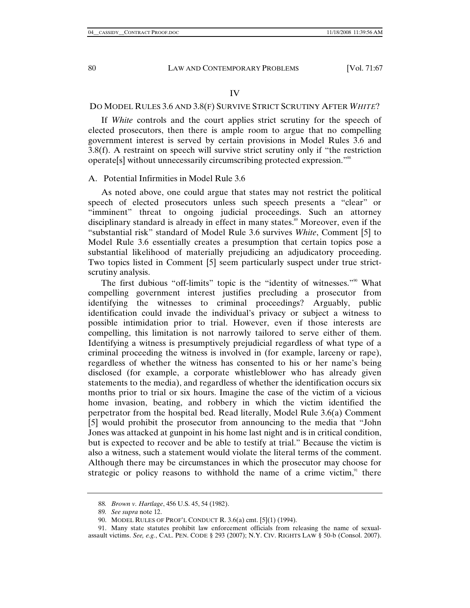#### IV

# DO MODEL RULES 3.6 AND 3.8(F) SURVIVE STRICT SCRUTINY AFTER *WHITE*?

If *White* controls and the court applies strict scrutiny for the speech of elected prosecutors, then there is ample room to argue that no compelling government interest is served by certain provisions in Model Rules 3.6 and 3.8(f). A restraint on speech will survive strict scrutiny only if "the restriction operate[s] without unnecessarily circumscribing protected expression."88

# A. Potential Infirmities in Model Rule 3.6

As noted above, one could argue that states may not restrict the political speech of elected prosecutors unless such speech presents a "clear" or "imminent" threat to ongoing judicial proceedings. Such an attorney disciplinary standard is already in effect in many states.<sup>89</sup> Moreover, even if the "substantial risk" standard of Model Rule 3.6 survives *White*, Comment [5] to Model Rule 3.6 essentially creates a presumption that certain topics pose a substantial likelihood of materially prejudicing an adjudicatory proceeding. Two topics listed in Comment [5] seem particularly suspect under true strictscrutiny analysis.

The first dubious "off-limits" topic is the "identity of witnesses."<sup>90</sup> What compelling government interest justifies precluding a prosecutor from identifying the witnesses to criminal proceedings? Arguably, public identification could invade the individual's privacy or subject a witness to possible intimidation prior to trial. However, even if those interests are compelling, this limitation is not narrowly tailored to serve either of them. Identifying a witness is presumptively prejudicial regardless of what type of a criminal proceeding the witness is involved in (for example, larceny or rape), regardless of whether the witness has consented to his or her name's being disclosed (for example, a corporate whistleblower who has already given statements to the media), and regardless of whether the identification occurs six months prior to trial or six hours. Imagine the case of the victim of a vicious home invasion, beating, and robbery in which the victim identified the perpetrator from the hospital bed. Read literally, Model Rule 3.6(a) Comment [5] would prohibit the prosecutor from announcing to the media that "John Jones was attacked at gunpoint in his home last night and is in critical condition, but is expected to recover and be able to testify at trial." Because the victim is also a witness, such a statement would violate the literal terms of the comment. Although there may be circumstances in which the prosecutor may choose for strategic or policy reasons to withhold the name of a crime victim, $91$  there

<sup>88</sup>*. Brown v. Hartlage*, 456 U.S. 45, 54 (1982).

<sup>89</sup>*. See supra* note 12.

 <sup>90.</sup> MODEL RULES OF PROF'L CONDUCT R. 3.6(a) cmt. [5](1) (1994).

 <sup>91.</sup> Many state statutes prohibit law enforcement officials from releasing the name of sexualassault victims. *See, e.g.*, CAL. PEN. CODE § 293 (2007); N.Y. CIV. RIGHTS LAW § 50-b (Consol. 2007).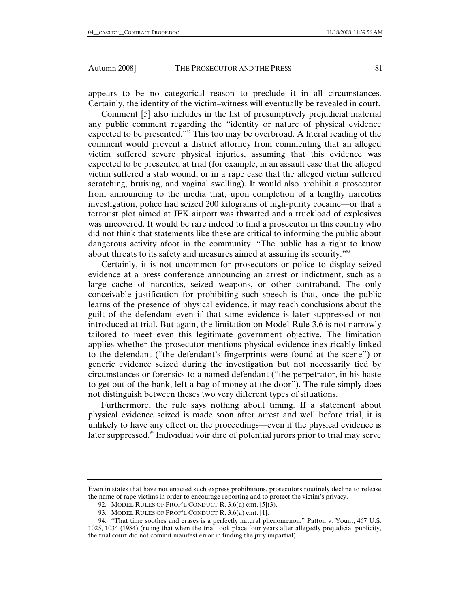appears to be no categorical reason to preclude it in all circumstances.

Certainly, the identity of the victim–witness will eventually be revealed in court. Comment [5] also includes in the list of presumptively prejudicial material any public comment regarding the "identity or nature of physical evidence expected to be presented."<sup>92</sup> This too may be overbroad. A literal reading of the comment would prevent a district attorney from commenting that an alleged victim suffered severe physical injuries, assuming that this evidence was expected to be presented at trial (for example, in an assault case that the alleged victim suffered a stab wound, or in a rape case that the alleged victim suffered scratching, bruising, and vaginal swelling). It would also prohibit a prosecutor from announcing to the media that, upon completion of a lengthy narcotics investigation, police had seized 200 kilograms of high-purity cocaine—or that a terrorist plot aimed at JFK airport was thwarted and a truckload of explosives was uncovered. It would be rare indeed to find a prosecutor in this country who did not think that statements like these are critical to informing the public about dangerous activity afoot in the community. "The public has a right to know about threats to its safety and measures aimed at assuring its security."93

Certainly, it is not uncommon for prosecutors or police to display seized evidence at a press conference announcing an arrest or indictment, such as a large cache of narcotics, seized weapons, or other contraband. The only conceivable justification for prohibiting such speech is that, once the public learns of the presence of physical evidence, it may reach conclusions about the guilt of the defendant even if that same evidence is later suppressed or not introduced at trial. But again, the limitation on Model Rule 3.6 is not narrowly tailored to meet even this legitimate government objective. The limitation applies whether the prosecutor mentions physical evidence inextricably linked to the defendant ("the defendant's fingerprints were found at the scene") or generic evidence seized during the investigation but not necessarily tied by circumstances or forensics to a named defendant ("the perpetrator, in his haste to get out of the bank, left a bag of money at the door"). The rule simply does not distinguish between theses two very different types of situations.

Furthermore, the rule says nothing about timing. If a statement about physical evidence seized is made soon after arrest and well before trial, it is unlikely to have any effect on the proceedings—even if the physical evidence is later suppressed.<sup>94</sup> Individual voir dire of potential jurors prior to trial may serve

Even in states that have not enacted such express prohibitions, prosecutors routinely decline to release the name of rape victims in order to encourage reporting and to protect the victim's privacy.

 <sup>92.</sup> MODEL RULES OF PROF'L CONDUCT R. 3.6(a) cmt. [5](3).

 <sup>93.</sup> MODEL RULES OF PROF'L CONDUCT R. 3.6(a) cmt. [1].

 <sup>94. &</sup>quot;That time soothes and erases is a perfectly natural phenomenon." Patton v. Yount, 467 U.S. 1025, 1034 (1984) (ruling that when the trial took place four years after allegedly prejudicial publicity, the trial court did not commit manifest error in finding the jury impartial).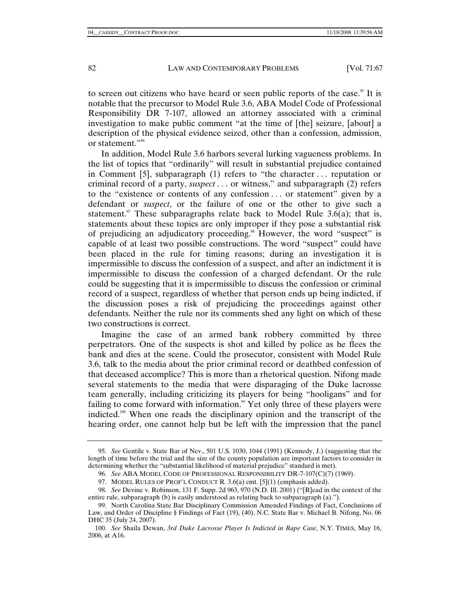to screen out citizens who have heard or seen public reports of the case.<sup>95</sup> It is notable that the precursor to Model Rule 3.6, ABA Model Code of Professional Responsibility DR 7-107, allowed an attorney associated with a criminal investigation to make public comment "at the time of [the] seizure, [about] a description of the physical evidence seized, other than a confession, admission, or statement."96

In addition, Model Rule 3.6 harbors several lurking vagueness problems. In the list of topics that "ordinarily" will result in substantial prejudice contained in Comment [5], subparagraph (1) refers to "the character . . . reputation or criminal record of a party, *suspect* . . . or witness," and subparagraph (2) refers to the "existence or contents of any confession . . . or statement" given by a defendant or *suspect*, or the failure of one or the other to give such a statement.<sup>97</sup> These subparagraphs relate back to Model Rule 3.6(a); that is, statements about these topics are only improper if they pose a substantial risk of prejudicing an adjudicatory proceeding.<sup>98</sup> However, the word "suspect" is capable of at least two possible constructions. The word "suspect" could have been placed in the rule for timing reasons; during an investigation it is impermissible to discuss the confession of a suspect, and after an indictment it is impermissible to discuss the confession of a charged defendant. Or the rule could be suggesting that it is impermissible to discuss the confession or criminal record of a suspect, regardless of whether that person ends up being indicted, if the discussion poses a risk of prejudicing the proceedings against other defendants. Neither the rule nor its comments shed any light on which of these two constructions is correct.

Imagine the case of an armed bank robbery committed by three perpetrators. One of the suspects is shot and killed by police as he flees the bank and dies at the scene. Could the prosecutor, consistent with Model Rule 3.6, talk to the media about the prior criminal record or deathbed confession of that deceased accomplice? This is more than a rhetorical question. Nifong made several statements to the media that were disparaging of the Duke lacrosse team generally, including criticizing its players for being "hooligans" and for failing to come forward with information.<sup>99</sup> Yet only three of these players were indicted.100 When one reads the disciplinary opinion and the transcript of the hearing order, one cannot help but be left with the impression that the panel

<sup>95</sup>*. See* Gentile v. State Bar of Nev., 501 U.S. 1030, 1044 (1991) (Kennedy, J.) (suggesting that the length of time before the trial and the size of the county population are important factors to consider in determining whether the "substantial likelihood of material prejudice" standard is met).

<sup>96</sup>*. See* ABA MODEL CODE OF PROFESSIONAL RESPONSIBILITY DR-7-107(C)(7) (1969).

 <sup>97.</sup> MODEL RULES OF PROF'L CONDUCT R. 3.6(a) cmt. [5](1) (emphasis added).

<sup>98</sup>*. See* Devine v. Robinson, 131 F. Supp. 2d 963, 970 (N.D. Ill. 2001) ("[R]ead in the context of the entire rule, subparagraph (b) is easily understood as relating back to subparagraph (a).").

 <sup>99.</sup> North Carolina State Bar Disciplinary Commission Amended Findings of Fact, Conclusions of Law, and Order of Discipline § Findings of Fact (19), (40), N.C. State Bar v. Michael B. Nifong, No. 06 DHC 35 (July 24, 2007).

<sup>100</sup>*. See* Shaila Dewan, *3rd Duke Lacrosse Player Is Indicted in Rape Case*, N.Y. TIMES, May 16, 2006, at A16.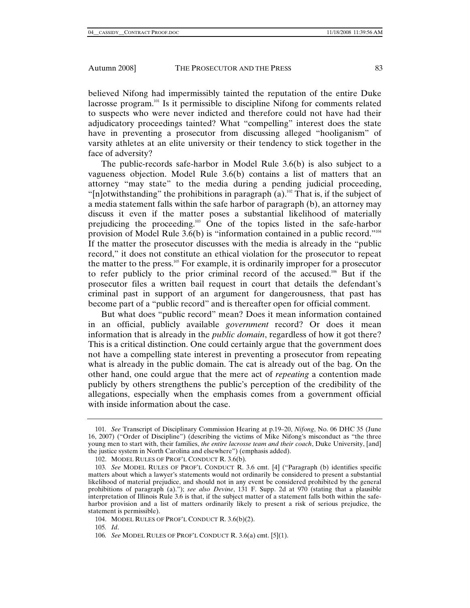believed Nifong had impermissibly tainted the reputation of the entire Duke lacrosse program.<sup>101</sup> Is it permissible to discipline Nifong for comments related to suspects who were never indicted and therefore could not have had their adjudicatory proceedings tainted? What "compelling" interest does the state have in preventing a prosecutor from discussing alleged "hooliganism" of varsity athletes at an elite university or their tendency to stick together in the face of adversity?

The public-records safe-harbor in Model Rule 3.6(b) is also subject to a vagueness objection. Model Rule 3.6(b) contains a list of matters that an attorney "may state" to the media during a pending judicial proceeding, "[n]otwithstanding" the prohibitions in paragraph (a).<sup>102</sup> That is, if the subject of a media statement falls within the safe harbor of paragraph (b), an attorney may discuss it even if the matter poses a substantial likelihood of materially prejudicing the proceeding.103 One of the topics listed in the safe-harbor provision of Model Rule 3.6(b) is "information contained in a public record."<sup>104</sup> If the matter the prosecutor discusses with the media is already in the "public record," it does not constitute an ethical violation for the prosecutor to repeat the matter to the press.105 For example, it is ordinarily improper for a prosecutor to refer publicly to the prior criminal record of the accused.<sup>106</sup> But if the prosecutor files a written bail request in court that details the defendant's criminal past in support of an argument for dangerousness, that past has become part of a "public record" and is thereafter open for official comment.

But what does "public record" mean? Does it mean information contained in an official, publicly available *government* record? Or does it mean information that is already in the *public domain*, regardless of how it got there? This is a critical distinction. One could certainly argue that the government does not have a compelling state interest in preventing a prosecutor from repeating what is already in the public domain. The cat is already out of the bag. On the other hand, one could argue that the mere act of *repeating* a contention made publicly by others strengthens the public's perception of the credibility of the allegations, especially when the emphasis comes from a government official with inside information about the case.

<sup>101</sup>*. See* Transcript of Disciplinary Commission Hearing at p.19–20, *Nifong*, No. 06 DHC 35 (June 16, 2007) ("Order of Discipline") (describing the victims of Mike Nifong's misconduct as "the three young men to start with, their families, *the entire lacrosse team and their coach*, Duke University, [and] the justice system in North Carolina and elsewhere") (emphasis added).

 <sup>102.</sup> MODEL RULES OF PROF'L CONDUCT R. 3.6(b).

<sup>103</sup>*. See* MODEL RULES OF PROF'L CONDUCT R. 3.6 cmt. [4] ("Paragraph (b) identifies specific matters about which a lawyer's statements would not ordinarily be considered to present a substantial likelihood of material prejudice, and should not in any event be considered prohibited by the general prohibitions of paragraph (a)."); *see also Devine*, 131 F. Supp. 2d at 970 (stating that a plausible interpretation of Illinois Rule 3.6 is that, if the subject matter of a statement falls both within the safeharbor provision and a list of matters ordinarily likely to present a risk of serious prejudice, the statement is permissible).

 <sup>104.</sup> MODEL RULES OF PROF'L CONDUCT R. 3.6(b)(2).

<sup>105</sup>*. Id*.

<sup>106</sup>*. See* MODEL RULES OF PROF'L CONDUCT R. 3.6(a) cmt. [5](1).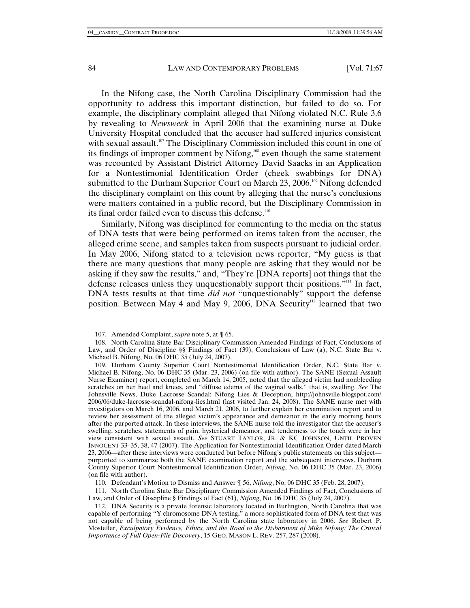In the Nifong case, the North Carolina Disciplinary Commission had the opportunity to address this important distinction, but failed to do so. For example, the disciplinary complaint alleged that Nifong violated N.C. Rule 3.6 by revealing to *Newsweek* in April 2006 that the examining nurse at Duke University Hospital concluded that the accuser had suffered injuries consistent with sexual assault.<sup>107</sup> The Disciplinary Commission included this count in one of its findings of improper comment by Nifong,<sup>108</sup> even though the same statement was recounted by Assistant District Attorney David Saacks in an Application for a Nontestimonial Identification Order (cheek swabbings for DNA) submitted to the Durham Superior Court on March 23, 2006.<sup>109</sup> Nifong defended the disciplinary complaint on this count by alleging that the nurse's conclusions were matters contained in a public record, but the Disciplinary Commission in its final order failed even to discuss this defense.<sup>110</sup>

Similarly, Nifong was disciplined for commenting to the media on the status of DNA tests that were being performed on items taken from the accuser, the alleged crime scene, and samples taken from suspects pursuant to judicial order. In May 2006, Nifong stated to a television news reporter, "My guess is that there are many questions that many people are asking that they would not be asking if they saw the results," and, "They're [DNA reports] not things that the defense releases unless they unquestionably support their positions."111 In fact, DNA tests results at that time *did not* "unquestionably" support the defense position. Between May 4 and May 9, 2006, DNA Security<sup>112</sup> learned that two

 111. North Carolina State Bar Disciplinary Commission Amended Findings of Fact, Conclusions of Law, and Order of Discipline § Findings of Fact (61), *Nifong*, No. 06 DHC 35 (July 24, 2007).

 <sup>107.</sup> Amended Complaint, *supra* note 5, at ¶ 65.

 <sup>108.</sup> North Carolina State Bar Disciplinary Commission Amended Findings of Fact, Conclusions of Law, and Order of Discipline §§ Findings of Fact (39), Conclusions of Law (a), N.C. State Bar v. Michael B. Nifong, No. 06 DHC 35 (July 24, 2007).

 <sup>109.</sup> Durham County Superior Court Nontestimonial Identification Order, N.C. State Bar v. Michael B. Nifong, No. 06 DHC 35 (Mar. 23, 2006) (on file with author). The SANE (Sexual Assault Nurse Examiner) report, completed on March 14, 2005, noted that the alleged victim had nonbleeding scratches on her heel and knees, and "diffuse edema of the vaginal walls," that is, swelling. *See* The Johnsville News, Duke Lacrosse Scandal: Nifong Lies & Deception, http://johnsville.blogspot.com/ 2006/06/duke-lacrosse-scandal-nifong-lies.html (last visited Jan. 24, 2008). The SANE nurse met with investigators on March 16, 2006, and March 21, 2006, to further explain her examination report and to review her assessment of the alleged victim's appearance and demeanor in the early morning hours after the purported attack. In these interviews, the SANE nurse told the investigator that the accuser's swelling, scratches, statements of pain, hysterical demeanor, and tenderness to the touch were in her view consistent with sexual assault. *See* STUART TAYLOR, JR. & KC JOHNSON, UNTIL PROVEN INNOCENT 33–35, 38, 47 (2007). The Application for Nontestimonial Identification Order dated March 23, 2006—after these interviews were conducted but before Nifong's public statements on this subject purported to summarize both the SANE examination report and the subsequent interviews. Durham County Superior Court Nontestimonial Identification Order, *Nifong*, No. 06 DHC 35 (Mar. 23, 2006) (on file with author).

 <sup>110.</sup> Defendant's Motion to Dismiss and Answer ¶ 56, *Nifong*, No. 06 DHC 35 (Feb. 28, 2007).

 <sup>112.</sup> DNA Security is a private forensic laboratory located in Burlington, North Carolina that was capable of performing "Y chromosome DNA testing," a more sophisticated form of DNA test that was not capable of being performed by the North Carolina state laboratory in 2006. *See* Robert P. Mosteller, *Exculpatory Evidence, Ethics, and the Road to the Disbarment of Mike Nifong: The Critical Importance of Full Open-File Discovery*, 15 GEO. MASON L. REV. 257, 287 (2008).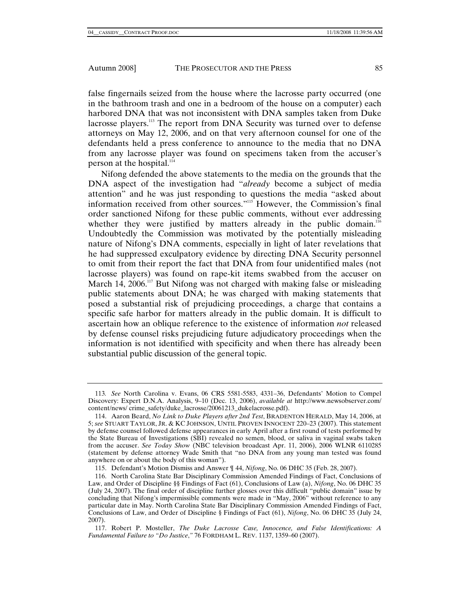false fingernails seized from the house where the lacrosse party occurred (one in the bathroom trash and one in a bedroom of the house on a computer) each harbored DNA that was not inconsistent with DNA samples taken from Duke lacrosse players.113 The report from DNA Security was turned over to defense attorneys on May 12, 2006, and on that very afternoon counsel for one of the defendants held a press conference to announce to the media that no DNA from any lacrosse player was found on specimens taken from the accuser's person at the hospital.<sup>114</sup>

Nifong defended the above statements to the media on the grounds that the DNA aspect of the investigation had "*already* become a subject of media attention" and he was just responding to questions the media "asked about information received from other sources."115 However, the Commission's final order sanctioned Nifong for these public comments, without ever addressing whether they were justified by matters already in the public domain.<sup>116</sup> Undoubtedly the Commission was motivated by the potentially misleading nature of Nifong's DNA comments, especially in light of later revelations that he had suppressed exculpatory evidence by directing DNA Security personnel to omit from their report the fact that DNA from four unidentified males (not lacrosse players) was found on rape-kit items swabbed from the accuser on March 14,  $2006$ <sup>117</sup> But Nifong was not charged with making false or misleading public statements about DNA; he was charged with making statements that posed a substantial risk of prejudicing proceedings, a charge that contains a specific safe harbor for matters already in the public domain. It is difficult to ascertain how an oblique reference to the existence of information *not* released by defense counsel risks prejudicing future adjudicatory proceedings when the information is not identified with specificity and when there has already been substantial public discussion of the general topic.

<sup>113</sup>*. See* North Carolina v. Evans, 06 CRS 5581-5583, 4331–36, Defendants' Motion to Compel Discovery: Expert D.N.A. Analysis, 9–10 (Dec. 13, 2006), *available at* http://www.newsobserver.com/ content/news/ crime\_safety/duke\_lacrosse/20061213\_dukelacrosse.pdf).

 <sup>114.</sup> Aaron Beard, *No Link to Duke Players after 2nd Test*, BRADENTON HERALD, May 14, 2006, at 5; *see* STUART TAYLOR, JR. & KC JOHNSON, UNTIL PROVEN INNOCENT 220–23 (2007). This statement by defense counsel followed defense appearances in early April after a first round of tests performed by the State Bureau of Investigations (SBI) revealed no semen, blood, or saliva in vaginal swabs taken from the accuser. *See Today Show* (NBC television broadcast Apr. 11, 2006), 2006 WLNR 6110285 (statement by defense attorney Wade Smith that "no DNA from any young man tested was found anywhere on or about the body of this woman").

 <sup>115.</sup> Defendant's Motion Dismiss and Answer ¶ 44, *Nifong*, No. 06 DHC 35 (Feb. 28, 2007).

 <sup>116.</sup> North Carolina State Bar Disciplinary Commission Amended Findings of Fact, Conclusions of Law, and Order of Discipline §§ Findings of Fact (61), Conclusions of Law (a), *Nifong*, No. 06 DHC 35 (July 24, 2007). The final order of discipline further glosses over this difficult "public domain" issue by concluding that Nifong's impermissible comments were made in "May, 2006" without reference to any particular date in May. North Carolina State Bar Disciplinary Commission Amended Findings of Fact, Conclusions of Law, and Order of Discipline § Findings of Fact (61), *Nifong*, No. 06 DHC 35 (July 24, 2007).

 <sup>117.</sup> Robert P. Mosteller, *The Duke Lacrosse Case, Innocence, and False Identifications: A Fundamental Failure to "Do Justice*,*"* 76 FORDHAM L. REV. 1137, 1359–60 (2007).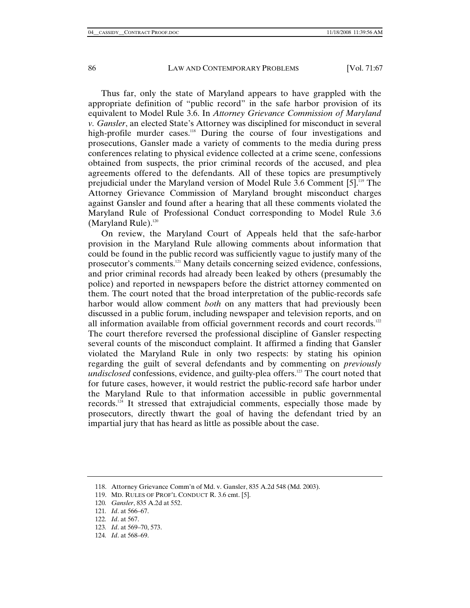Thus far, only the state of Maryland appears to have grappled with the appropriate definition of "public record" in the safe harbor provision of its equivalent to Model Rule 3.6. In *Attorney Grievance Commission of Maryland v. Gansler*, an elected State's Attorney was disciplined for misconduct in several high-profile murder cases.<sup>118</sup> During the course of four investigations and prosecutions, Gansler made a variety of comments to the media during press conferences relating to physical evidence collected at a crime scene, confessions obtained from suspects, the prior criminal records of the accused, and plea agreements offered to the defendants. All of these topics are presumptively prejudicial under the Maryland version of Model Rule 3.6 Comment [5].119 The Attorney Grievance Commission of Maryland brought misconduct charges against Gansler and found after a hearing that all these comments violated the Maryland Rule of Professional Conduct corresponding to Model Rule 3.6 (Maryland Rule).<sup>120</sup>

On review, the Maryland Court of Appeals held that the safe-harbor provision in the Maryland Rule allowing comments about information that could be found in the public record was sufficiently vague to justify many of the prosecutor's comments.121 Many details concerning seized evidence, confessions, and prior criminal records had already been leaked by others (presumably the police) and reported in newspapers before the district attorney commented on them. The court noted that the broad interpretation of the public-records safe harbor would allow comment *both* on any matters that had previously been discussed in a public forum, including newspaper and television reports, and on all information available from official government records and court records.<sup>122</sup> The court therefore reversed the professional discipline of Gansler respecting several counts of the misconduct complaint. It affirmed a finding that Gansler violated the Maryland Rule in only two respects: by stating his opinion regarding the guilt of several defendants and by commenting on *previously undisclosed* confessions, evidence, and guilty-plea offers.<sup>123</sup> The court noted that for future cases, however, it would restrict the public-record safe harbor under the Maryland Rule to that information accessible in public governmental records.<sup>124</sup> It stressed that extrajudicial comments, especially those made by prosecutors, directly thwart the goal of having the defendant tried by an impartial jury that has heard as little as possible about the case.

 <sup>118.</sup> Attorney Grievance Comm'n of Md. v. Gansler, 835 A.2d 548 (Md. 2003).

 <sup>119.</sup> MD. RULES OF PROF'L CONDUCT R. 3.6 cmt. [5].

<sup>120</sup>*. Gansler*, 835 A.2d at 552.

<sup>121</sup>*. Id*. at 566–67.

<sup>122</sup>*. Id*. at 567.

<sup>123</sup>*. Id*. at 569–70, 573.

<sup>124</sup>*. Id*. at 568–69.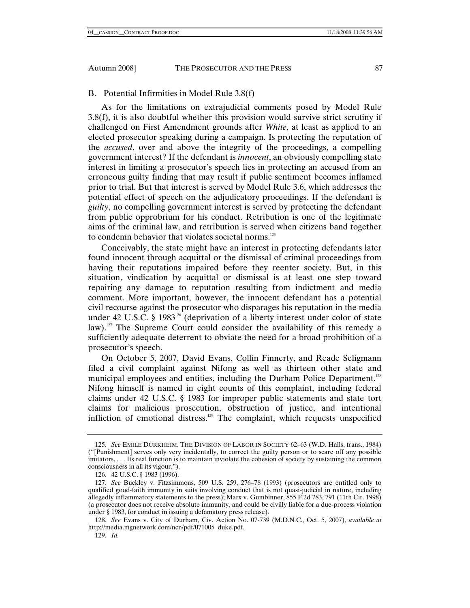B. Potential Infirmities in Model Rule 3.8(f)

As for the limitations on extrajudicial comments posed by Model Rule 3.8(f), it is also doubtful whether this provision would survive strict scrutiny if challenged on First Amendment grounds after *White*, at least as applied to an elected prosecutor speaking during a campaign. Is protecting the reputation of the *accused*, over and above the integrity of the proceedings, a compelling government interest? If the defendant is *innocent*, an obviously compelling state interest in limiting a prosecutor's speech lies in protecting an accused from an erroneous guilty finding that may result if public sentiment becomes inflamed prior to trial. But that interest is served by Model Rule 3.6, which addresses the potential effect of speech on the adjudicatory proceedings. If the defendant is *guilty*, no compelling government interest is served by protecting the defendant from public opprobrium for his conduct. Retribution is one of the legitimate aims of the criminal law, and retribution is served when citizens band together to condemn behavior that violates societal norms.<sup>125</sup>

Conceivably, the state might have an interest in protecting defendants later found innocent through acquittal or the dismissal of criminal proceedings from having their reputations impaired before they reenter society. But, in this situation, vindication by acquittal or dismissal is at least one step toward repairing any damage to reputation resulting from indictment and media comment. More important, however, the innocent defendant has a potential civil recourse against the prosecutor who disparages his reputation in the media under 42 U.S.C. § 1983<sup>126</sup> (deprivation of a liberty interest under color of state law).<sup>127</sup> The Supreme Court could consider the availability of this remedy a sufficiently adequate deterrent to obviate the need for a broad prohibition of a prosecutor's speech.

On October 5, 2007, David Evans, Collin Finnerty, and Reade Seligmann filed a civil complaint against Nifong as well as thirteen other state and municipal employees and entities, including the Durham Police Department.<sup>128</sup> Nifong himself is named in eight counts of this complaint, including federal claims under 42 U.S.C. § 1983 for improper public statements and state tort claims for malicious prosecution, obstruction of justice, and intentional infliction of emotional distress.129 The complaint, which requests unspecified

<sup>125</sup>*. See* EMILE DURKHEIM, THE DIVISION OF LABOR IN SOCIETY 62–63 (W.D. Halls, trans., 1984) ("[Punishment] serves only very incidentally, to correct the guilty person or to scare off any possible imitators. . . . Its real function is to maintain inviolate the cohesion of society by sustaining the common consciousness in all its vigour.").

 <sup>126. 42</sup> U.S.C. § 1983 (1996).

<sup>127</sup>*. See* Buckley v. Fitzsimmons, 509 U.S. 259, 276–78 (1993) (prosecutors are entitled only to qualified good-faith immunity in suits involving conduct that is not quasi-judicial in nature, including allegedly inflammatory statements to the press); Marx v. Gumbinner, 855 F.2d 783, 791 (11th Cir. 1998) (a prosecutor does not receive absolute immunity, and could be civilly liable for a due-process violation under § 1983, for conduct in issuing a defamatory press release).

<sup>128</sup>*. See* Evans v. City of Durham, Civ. Action No. 07-739 (M.D.N.C., Oct. 5, 2007), *available at* http://media.mgnetwork.com/ncn/pdf/071005\_duke.pdf.

<sup>129</sup>*. Id.*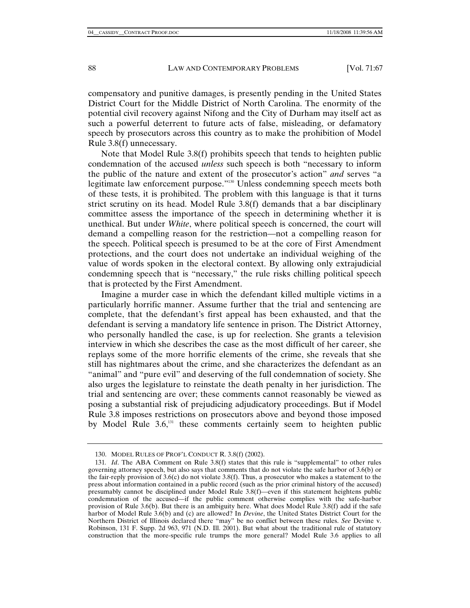compensatory and punitive damages, is presently pending in the United States District Court for the Middle District of North Carolina. The enormity of the potential civil recovery against Nifong and the City of Durham may itself act as such a powerful deterrent to future acts of false, misleading, or defamatory speech by prosecutors across this country as to make the prohibition of Model Rule 3.8(f) unnecessary.

Note that Model Rule 3.8(f) prohibits speech that tends to heighten public condemnation of the accused *unless* such speech is both "necessary to inform the public of the nature and extent of the prosecutor's action" *and* serves "a legitimate law enforcement purpose."130 Unless condemning speech meets both of these tests, it is prohibited. The problem with this language is that it turns strict scrutiny on its head. Model Rule 3.8(f) demands that a bar disciplinary committee assess the importance of the speech in determining whether it is unethical. But under *White*, where political speech is concerned, the court will demand a compelling reason for the restriction—not a compelling reason for the speech. Political speech is presumed to be at the core of First Amendment protections, and the court does not undertake an individual weighing of the value of words spoken in the electoral context. By allowing only extrajudicial condemning speech that is "necessary," the rule risks chilling political speech that is protected by the First Amendment.

Imagine a murder case in which the defendant killed multiple victims in a particularly horrific manner. Assume further that the trial and sentencing are complete, that the defendant's first appeal has been exhausted, and that the defendant is serving a mandatory life sentence in prison. The District Attorney, who personally handled the case, is up for reelection. She grants a television interview in which she describes the case as the most difficult of her career, she replays some of the more horrific elements of the crime, she reveals that she still has nightmares about the crime, and she characterizes the defendant as an "animal" and "pure evil" and deserving of the full condemnation of society. She also urges the legislature to reinstate the death penalty in her jurisdiction. The trial and sentencing are over; these comments cannot reasonably be viewed as posing a substantial risk of prejudicing adjudicatory proceedings. But if Model Rule 3.8 imposes restrictions on prosecutors above and beyond those imposed by Model Rule  $3.6$ ,<sup>131</sup> these comments certainly seem to heighten public

 <sup>130.</sup> MODEL RULES OF PROF'L CONDUCT R. 3.8(f) (2002).

<sup>131</sup>*. Id*. The ABA Comment on Rule 3.8(f) states that this rule is "supplemental" to other rules governing attorney speech, but also says that comments that do not violate the safe harbor of 3.6(b) or the fair-reply provision of 3.6(c) do not violate 3.8(f). Thus, a prosecutor who makes a statement to the press about information contained in a public record (such as the prior criminal history of the accused) presumably cannot be disciplined under Model Rule 3.8(f)—even if this statement heightens public condemnation of the accused—if the public comment otherwise complies with the safe-harbor provision of Rule 3.6(b). But there is an ambiguity here. What does Model Rule 3.8(f) add if the safe harbor of Model Rule 3.6(b) and (c) are allowed? In *Devine*, the United States District Court for the Northern District of Illinois declared there "may" be no conflict between these rules. *See* Devine v. Robinson, 131 F. Supp. 2d 963, 971 (N.D. Ill. 2001). But what about the traditional rule of statutory construction that the more-specific rule trumps the more general? Model Rule 3.6 applies to all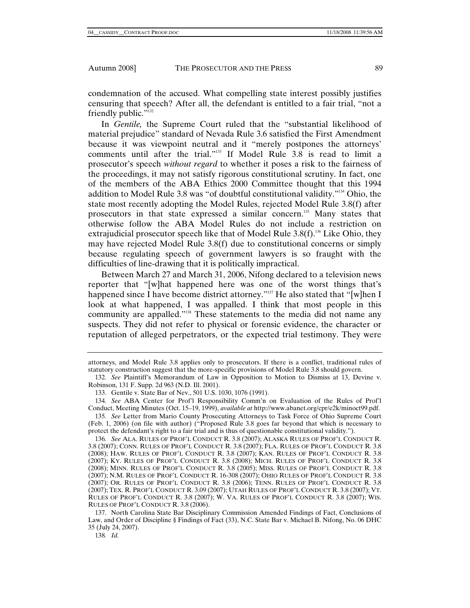condemnation of the accused. What compelling state interest possibly justifies censuring that speech? After all, the defendant is entitled to a fair trial, "not a friendly public."<sup>132</sup>

In *Gentile,* the Supreme Court ruled that the "substantial likelihood of material prejudice" standard of Nevada Rule 3.6 satisfied the First Amendment because it was viewpoint neutral and it "merely postpones the attorneys' comments until after the trial."<sup>133</sup> If Model Rule 3.8 is read to limit a prosecutor's speech *without regard* to whether it poses a risk to the fairness of the proceedings, it may not satisfy rigorous constitutional scrutiny. In fact, one of the members of the ABA Ethics 2000 Committee thought that this 1994 addition to Model Rule 3.8 was "of doubtful constitutional validity."134 Ohio, the state most recently adopting the Model Rules, rejected Model Rule 3.8(f) after prosecutors in that state expressed a similar concern.135 Many states that otherwise follow the ABA Model Rules do not include a restriction on extrajudicial prosecutor speech like that of Model Rule  $3.8(f)$ .<sup>136</sup> Like Ohio, they may have rejected Model Rule 3.8(f) due to constitutional concerns or simply because regulating speech of government lawyers is so fraught with the difficulties of line-drawing that it is politically impractical.

Between March 27 and March 31, 2006, Nifong declared to a television news reporter that "[w]hat happened here was one of the worst things that's happened since I have become district attorney."<sup>137</sup> He also stated that "[w]hen I look at what happened, I was appalled. I think that most people in this community are appalled."138 These statements to the media did not name any suspects. They did not refer to physical or forensic evidence, the character or reputation of alleged perpetrators, or the expected trial testimony. They were

138*. Id.*

attorneys, and Model Rule 3.8 applies only to prosecutors. If there is a conflict, traditional rules of statutory construction suggest that the more-specific provisions of Model Rule 3.8 should govern.

<sup>132</sup>*. See* Plaintiff's Memorandum of Law in Opposition to Motion to Dismiss at 13, Devine v. Robinson, 131 F. Supp. 2d 963 (N.D. Ill. 2001).

 <sup>133.</sup> Gentile v. State Bar of Nev., 501 U.S. 1030, 1076 (1991).

<sup>134</sup>*. See* ABA Center for Prof'l Responsibility Comm'n on Evaluation of the Rules of Prof'l Conduct, Meeting Minutes (Oct. 15–19, 1999), *available at* http://www.abanet.org/cpr/e2k/minoct99.pdf.

<sup>135</sup>*. See* Letter from Mario County Prosecuting Attorneys to Task Force of Ohio Supreme Court (Feb. 1, 2006) (on file with author) ("Proposed Rule 3.8 goes far beyond that which is necessary to protect the defendant's right to a fair trial and is thus of questionable constitutional validity.").

<sup>136</sup>*. See* ALA. RULES OF PROF'L CONDUCT R. 3.8 (2007); ALASKA RULES OF PROF'L CONDUCT R. 3.8 (2007); CONN. RULES OF PROF'L CONDUCT R. 3.8 (2007); FLA. RULES OF PROF'L CONDUCT R. 3.8 (2008); HAW. RULES OF PROF'L CONDUCT R. 3.8 (2007); KAN. RULES OF PROF'L CONDUCT R. 3.8 (2007); KY. RULES OF PROF'L CONDUCT R. 3.8 (2008); MICH. RULES OF PROF'L CONDUCT R. 3.8 (2008); MINN. RULES OF PROF'L CONDUCT R. 3.8 (2005); MISS. RULES OF PROF'L CONDUCT R. 3.8 (2007); N.M. RULES OF PROF'L CONDUCT R. 16-308 (2007); OHIO RULES OF PROF'L CONDUCT R. 3.8 (2007); OR. RULES OF PROF'L CONDUCT R. 3.8 (2006); TENN. RULES OF PROF'L CONDUCT R. 3.8 (2007); TEX. R. PROF'L CONDUCT R. 3.09 (2007); UTAH RULES OF PROF'L CONDUCT R. 3.8 (2007); VT. RULES OF PROF'L CONDUCT R. 3.8 (2007); W. VA. RULES OF PROF'L CONDUCT R. 3.8 (2007); WIS. RULES OF PROF'L CONDUCT R. 3.8 (2006).

 <sup>137.</sup> North Carolina State Bar Disciplinary Commission Amended Findings of Fact, Conclusions of Law, and Order of Discipline § Findings of Fact (33), N.C. State Bar v. Michael B. Nifong, No. 06 DHC 35 (July 24, 2007).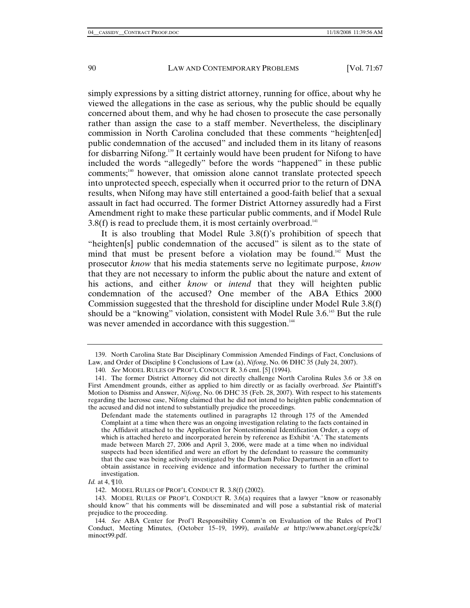simply expressions by a sitting district attorney, running for office, about why he viewed the allegations in the case as serious, why the public should be equally concerned about them, and why he had chosen to prosecute the case personally rather than assign the case to a staff member. Nevertheless, the disciplinary commission in North Carolina concluded that these comments "heighten[ed] public condemnation of the accused" and included them in its litany of reasons for disbarring Nifong.139 It certainly would have been prudent for Nifong to have included the words "allegedly" before the words "happened" in these public comments;<sup>140</sup> however, that omission alone cannot translate protected speech into unprotected speech, especially when it occurred prior to the return of DNA results, when Nifong may have still entertained a good-faith belief that a sexual assault in fact had occurred. The former District Attorney assuredly had a First Amendment right to make these particular public comments, and if Model Rule  $3.8(f)$  is read to preclude them, it is most certainly overbroad.<sup>141</sup>

It is also troubling that Model Rule 3.8(f)'s prohibition of speech that "heighten[s] public condemnation of the accused" is silent as to the state of mind that must be present before a violation may be found.<sup>142</sup> Must the prosecutor *know* that his media statements serve no legitimate purpose, *know* that they are not necessary to inform the public about the nature and extent of his actions, and either *know* or *intend* that they will heighten public condemnation of the accused? One member of the ABA Ethics 2000 Commission suggested that the threshold for discipline under Model Rule 3.8(f) should be a "knowing" violation, consistent with Model Rule 3.6.<sup>143</sup> But the rule was never amended in accordance with this suggestion.<sup>144</sup>

 <sup>139.</sup> North Carolina State Bar Disciplinary Commission Amended Findings of Fact, Conclusions of Law, and Order of Discipline § Conclusions of Law (a), *Nifong*, No. 06 DHC 35 (July 24, 2007).

<sup>140</sup>*. See* MODEL RULES OF PROF'L CONDUCT R. 3.6 cmt. [5] (1994).

 <sup>141.</sup> The former District Attorney did not directly challenge North Carolina Rules 3.6 or 3.8 on First Amendment grounds, either as applied to him directly or as facially overbroad. *See* Plaintiff's Motion to Dismiss and Answer, *Nifong*, No. 06 DHC 35 (Feb. 28, 2007). With respect to his statements regarding the lacrosse case, Nifong claimed that he did not intend to heighten public condemnation of the accused and did not intend to substantially prejudice the proceedings.

Defendant made the statements outlined in paragraphs 12 through 175 of the Amended Complaint at a time when there was an ongoing investigation relating to the facts contained in the Affidavit attached to the Application for Nontestimonial Identification Order, a copy of which is attached hereto and incorporated herein by reference as Exhibit 'A.' The statements made between March 27, 2006 and April 3, 2006, were made at a time when no individual suspects had been identified and were an effort by the defendant to reassure the community that the case was being actively investigated by the Durham Police Department in an effort to obtain assistance in receiving evidence and information necessary to further the criminal investigation.

*Id.* at 4, ¶10.

 <sup>142.</sup> MODEL RULES OF PROF'L CONDUCT R. 3.8(f) (2002).

 <sup>143.</sup> MODEL RULES OF PROF'L CONDUCT R. 3.6(a) requires that a lawyer "know or reasonably should know" that his comments will be disseminated and will pose a substantial risk of material prejudice to the proceeding.

<sup>144</sup>*. See* ABA Center for Prof'l Responsibility Comm'n on Evaluation of the Rules of Prof'l Conduct, Meeting Minutes, (October 15–19, 1999), *available at* http://www.abanet.org/cpr/e2k/ minoct99.pdf.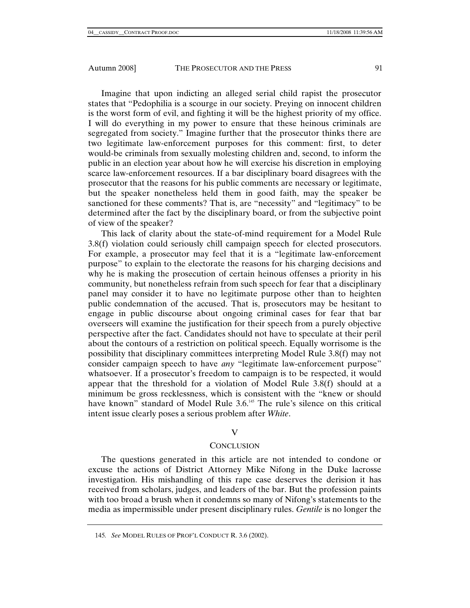Imagine that upon indicting an alleged serial child rapist the prosecutor states that "Pedophilia is a scourge in our society. Preying on innocent children is the worst form of evil, and fighting it will be the highest priority of my office. I will do everything in my power to ensure that these heinous criminals are segregated from society." Imagine further that the prosecutor thinks there are two legitimate law-enforcement purposes for this comment: first, to deter would-be criminals from sexually molesting children and, second, to inform the public in an election year about how he will exercise his discretion in employing scarce law-enforcement resources. If a bar disciplinary board disagrees with the prosecutor that the reasons for his public comments are necessary or legitimate, but the speaker nonetheless held them in good faith, may the speaker be sanctioned for these comments? That is, are "necessity" and "legitimacy" to be determined after the fact by the disciplinary board, or from the subjective point of view of the speaker?

This lack of clarity about the state-of-mind requirement for a Model Rule 3.8(f) violation could seriously chill campaign speech for elected prosecutors. For example, a prosecutor may feel that it is a "legitimate law-enforcement purpose" to explain to the electorate the reasons for his charging decisions and why he is making the prosecution of certain heinous offenses a priority in his community, but nonetheless refrain from such speech for fear that a disciplinary panel may consider it to have no legitimate purpose other than to heighten public condemnation of the accused. That is, prosecutors may be hesitant to engage in public discourse about ongoing criminal cases for fear that bar overseers will examine the justification for their speech from a purely objective perspective after the fact. Candidates should not have to speculate at their peril about the contours of a restriction on political speech. Equally worrisome is the possibility that disciplinary committees interpreting Model Rule 3.8(f) may not consider campaign speech to have *any* "legitimate law-enforcement purpose" whatsoever. If a prosecutor's freedom to campaign is to be respected, it would appear that the threshold for a violation of Model Rule 3.8(f) should at a minimum be gross recklessness, which is consistent with the "knew or should have known" standard of Model Rule 3.6.<sup>145</sup> The rule's silence on this critical intent issue clearly poses a serious problem after *White*.

# V

# **CONCLUSION**

The questions generated in this article are not intended to condone or excuse the actions of District Attorney Mike Nifong in the Duke lacrosse investigation. His mishandling of this rape case deserves the derision it has received from scholars, judges, and leaders of the bar. But the profession paints with too broad a brush when it condemns so many of Nifong's statements to the media as impermissible under present disciplinary rules. *Gentile* is no longer the

<sup>145</sup>*. See* MODEL RULES OF PROF'L CONDUCT R. 3.6 (2002).